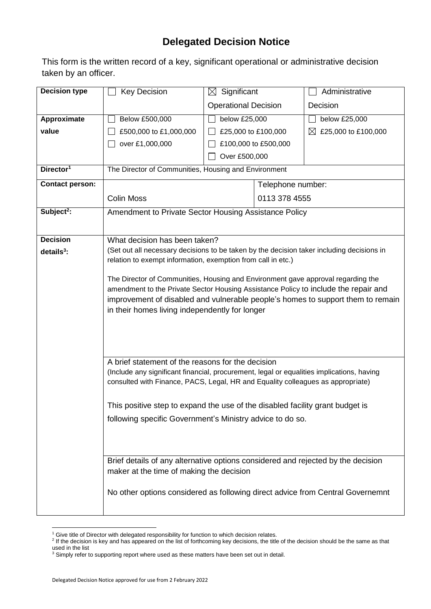## **Delegated Decision Notice**

This form is the written record of a key, significant operational or administrative decision taken by an officer.

| <b>Decision type</b>   | <b>Key Decision</b>                                                                                                                                                          | $\boxtimes$ Significant                               |                      | Administrative                  |  |
|------------------------|------------------------------------------------------------------------------------------------------------------------------------------------------------------------------|-------------------------------------------------------|----------------------|---------------------------------|--|
|                        |                                                                                                                                                                              | <b>Operational Decision</b>                           |                      | Decision                        |  |
| Approximate            | Below £500,000                                                                                                                                                               | below £25,000                                         |                      | below £25,000                   |  |
| value                  | £500,000 to £1,000,000                                                                                                                                                       | £25,000 to £100,000                                   |                      | $\boxtimes$ £25,000 to £100,000 |  |
|                        | over £1,000,000                                                                                                                                                              |                                                       | £100,000 to £500,000 |                                 |  |
|                        |                                                                                                                                                                              | Over £500,000                                         |                      |                                 |  |
| Director <sup>1</sup>  | The Director of Communities, Housing and Environment                                                                                                                         |                                                       |                      |                                 |  |
| <b>Contact person:</b> |                                                                                                                                                                              |                                                       |                      | Telephone number:               |  |
|                        | <b>Colin Moss</b>                                                                                                                                                            |                                                       | 0113 378 4555        |                                 |  |
| Subject <sup>2</sup> : |                                                                                                                                                                              | Amendment to Private Sector Housing Assistance Policy |                      |                                 |  |
|                        |                                                                                                                                                                              |                                                       |                      |                                 |  |
| <b>Decision</b>        | What decision has been taken?                                                                                                                                                |                                                       |                      |                                 |  |
| details $3$ :          | (Set out all necessary decisions to be taken by the decision taker including decisions in                                                                                    |                                                       |                      |                                 |  |
|                        | relation to exempt information, exemption from call in etc.)                                                                                                                 |                                                       |                      |                                 |  |
|                        | The Director of Communities, Housing and Environment gave approval regarding the                                                                                             |                                                       |                      |                                 |  |
|                        | amendment to the Private Sector Housing Assistance Policy to include the repair and                                                                                          |                                                       |                      |                                 |  |
|                        | improvement of disabled and vulnerable people's homes to support them to remain                                                                                              |                                                       |                      |                                 |  |
|                        | in their homes living independently for longer                                                                                                                               |                                                       |                      |                                 |  |
|                        |                                                                                                                                                                              |                                                       |                      |                                 |  |
|                        |                                                                                                                                                                              |                                                       |                      |                                 |  |
|                        |                                                                                                                                                                              |                                                       |                      |                                 |  |
|                        | A brief statement of the reasons for the decision                                                                                                                            |                                                       |                      |                                 |  |
|                        | (Include any significant financial, procurement, legal or equalities implications, having<br>consulted with Finance, PACS, Legal, HR and Equality colleagues as appropriate) |                                                       |                      |                                 |  |
|                        |                                                                                                                                                                              |                                                       |                      |                                 |  |
|                        | This positive step to expand the use of the disabled facility grant budget is                                                                                                |                                                       |                      |                                 |  |
|                        | following specific Government's Ministry advice to do so.                                                                                                                    |                                                       |                      |                                 |  |
|                        |                                                                                                                                                                              |                                                       |                      |                                 |  |
|                        |                                                                                                                                                                              |                                                       |                      |                                 |  |
|                        | Brief details of any alternative options considered and rejected by the decision                                                                                             |                                                       |                      |                                 |  |
|                        |                                                                                                                                                                              | maker at the time of making the decision              |                      |                                 |  |
|                        |                                                                                                                                                                              |                                                       |                      |                                 |  |
|                        | No other options considered as following direct advice from Central Governemnt                                                                                               |                                                       |                      |                                 |  |
|                        |                                                                                                                                                                              |                                                       |                      |                                 |  |

1

<sup>&</sup>lt;sup>1</sup> Give title of Director with delegated responsibility for function to which decision relates.<br><sup>2</sup> If the decision is key and has appeared on the list of forthcoming key decisions, the title of the decision should be the used in the list

 $3$  Simply refer to supporting report where used as these matters have been set out in detail.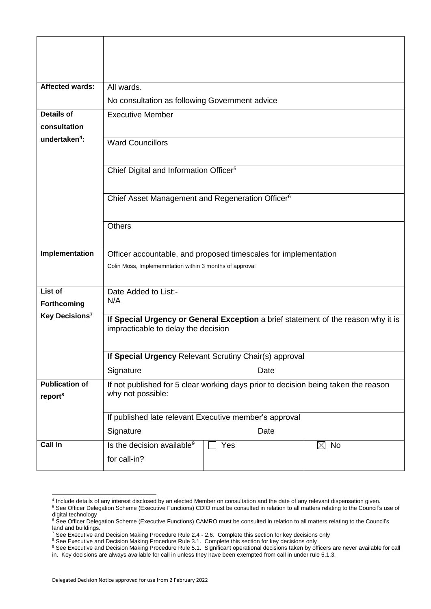| <b>Affected wards:</b>     | All wards.                                                                                                               |     |                |  |  |
|----------------------------|--------------------------------------------------------------------------------------------------------------------------|-----|----------------|--|--|
|                            | No consultation as following Government advice                                                                           |     |                |  |  |
| <b>Details of</b>          | <b>Executive Member</b>                                                                                                  |     |                |  |  |
| consultation               |                                                                                                                          |     |                |  |  |
| undertaken <sup>4</sup> :  | <b>Ward Councillors</b>                                                                                                  |     |                |  |  |
|                            |                                                                                                                          |     |                |  |  |
|                            | Chief Digital and Information Officer <sup>5</sup>                                                                       |     |                |  |  |
|                            |                                                                                                                          |     |                |  |  |
|                            | Chief Asset Management and Regeneration Officer <sup>6</sup>                                                             |     |                |  |  |
|                            |                                                                                                                          |     |                |  |  |
|                            | <b>Others</b>                                                                                                            |     |                |  |  |
|                            |                                                                                                                          |     |                |  |  |
| Implementation             | Officer accountable, and proposed timescales for implementation                                                          |     |                |  |  |
|                            | Colin Moss, Implememntation within 3 months of approval                                                                  |     |                |  |  |
| <b>List of</b>             |                                                                                                                          |     |                |  |  |
| Forthcoming                | Date Added to List:-<br>N/A                                                                                              |     |                |  |  |
| Key Decisions <sup>7</sup> |                                                                                                                          |     |                |  |  |
|                            | If Special Urgency or General Exception a brief statement of the reason why it is<br>impracticable to delay the decision |     |                |  |  |
|                            |                                                                                                                          |     |                |  |  |
|                            | If Special Urgency Relevant Scrutiny Chair(s) approval                                                                   |     |                |  |  |
|                            | Signature<br>Date                                                                                                        |     |                |  |  |
| <b>Publication of</b>      | If not published for 5 clear working days prior to decision being taken the reason                                       |     |                |  |  |
| report <sup>8</sup>        | why not possible:                                                                                                        |     |                |  |  |
|                            | If published late relevant Executive member's approval                                                                   |     |                |  |  |
|                            | Signature<br>Date                                                                                                        |     |                |  |  |
| Call In                    | Is the decision available <sup>9</sup>                                                                                   | Yes | $\boxtimes$ No |  |  |
|                            | for call-in?                                                                                                             |     |                |  |  |
|                            |                                                                                                                          |     |                |  |  |

 4 Include details of any interest disclosed by an elected Member on consultation and the date of any relevant dispensation given.

<sup>&</sup>lt;sup>5</sup> See Officer Delegation Scheme (Executive Functions) CDIO must be consulted in relation to all matters relating to the Council's use of digital technology

<sup>&</sup>lt;sup>6</sup> See Officer Delegation Scheme (Executive Functions) CAMRO must be consulted in relation to all matters relating to the Council's land and buildings.

<sup>&</sup>lt;sup>7</sup> See Executive and Decision Making Procedure Rule 2.4 - 2.6. Complete this section for key decisions only

<sup>&</sup>lt;sup>8</sup> See Executive and Decision Making Procedure Rule 3.1. Complete this section for key decisions only

<sup>&</sup>lt;sup>9</sup> See Executive and Decision Making Procedure Rule 5.1. Significant operational decisions taken by officers are never available for call in. Key decisions are always available for call in unless they have been exempted from call in under rule 5.1.3.